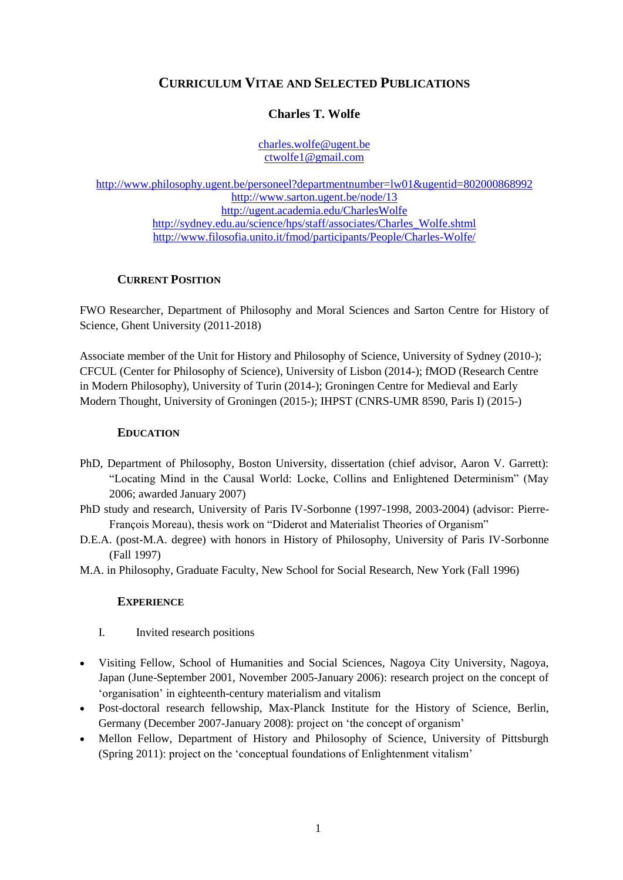# **CURRICULUM VITAE AND SELECTED PUBLICATIONS**

# **Charles T. Wolfe**

[charles.wolfe@ugent.be](mailto:charles.wolfe@ugent.be) ctwolfe1@gmail.com

<http://www.philosophy.ugent.be/personeel?departmentnumber=lw01&ugentid=802000868992> http://www.sarton.ugent.be/node/13 http://ugent.academia.edu/CharlesWolfe [http://sydney.edu.au/science/hps/staff/associates/Charles\\_Wolfe.shtml](http://sydney.edu.au/science/hps/staff/associates/Charles_Wolfe.shtml) <http://www.filosofia.unito.it/fmod/participants/People/Charles-Wolfe/>

# **CURRENT POSITION**

FWO Researcher, Department of Philosophy and Moral Sciences and Sarton Centre for History of Science, Ghent University (2011-2018)

Associate member of the Unit for History and Philosophy of Science, University of Sydney (2010-); CFCUL (Center for Philosophy of Science), University of Lisbon (2014-); fMOD (Research Centre in Modern Philosophy), University of Turin (2014-); Groningen Centre for Medieval and Early Modern Thought, University of Groningen (2015-); IHPST (CNRS-UMR 8590, Paris I) (2015-)

## **EDUCATION**

- PhD, Department of Philosophy, Boston University, dissertation (chief advisor, Aaron V. Garrett): "Locating Mind in the Causal World: Locke, Collins and Enlightened Determinism" (May 2006; awarded January 2007)
- PhD study and research, University of Paris IV-Sorbonne (1997-1998, 2003-2004) (advisor: Pierre-François Moreau), thesis work on "Diderot and Materialist Theories of Organism"
- D.E.A. (post-M.A. degree) with honors in History of Philosophy, University of Paris IV-Sorbonne (Fall 1997)
- M.A. in Philosophy, Graduate Faculty, New School for Social Research, New York (Fall 1996)

## **EXPERIENCE**

- I. Invited research positions
- Visiting Fellow, School of Humanities and Social Sciences, Nagoya City University, Nagoya, Japan (June-September 2001, November 2005-January 2006): research project on the concept of 'organisation' in eighteenth-century materialism and vitalism
- Post-doctoral research fellowship, Max-Planck Institute for the History of Science, Berlin, Germany (December 2007-January 2008): project on 'the concept of organism'
- Mellon Fellow, Department of History and Philosophy of Science, University of Pittsburgh (Spring 2011): project on the 'conceptual foundations of Enlightenment vitalism'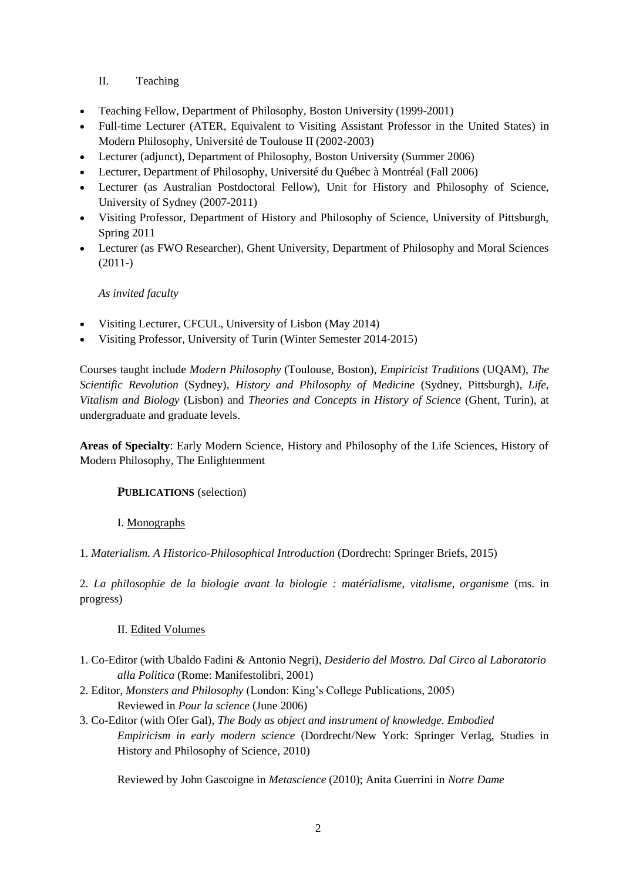# II. Teaching

- Teaching Fellow, Department of Philosophy, Boston University (1999-2001)
- Full-time Lecturer (ATER, Equivalent to Visiting Assistant Professor in the United States) in Modern Philosophy, Université de Toulouse II (2002-2003)
- Lecturer (adjunct), Department of Philosophy, Boston University (Summer 2006)
- Lecturer, Department of Philosophy, Université du Québec à Montréal (Fall 2006)
- Lecturer (as Australian Postdoctoral Fellow), Unit for History and Philosophy of Science, University of Sydney (2007-2011)
- Visiting Professor, Department of History and Philosophy of Science, University of Pittsburgh, Spring 2011
- Lecturer (as FWO Researcher), Ghent University, Department of Philosophy and Moral Sciences (2011-)

## *As invited faculty*

- Visiting Lecturer, CFCUL, University of Lisbon (May 2014)
- Visiting Professor, University of Turin (Winter Semester 2014-2015)

Courses taught include *Modern Philosophy* (Toulouse, Boston), *Empiricist Traditions* (UQAM), *The Scientific Revolution* (Sydney), *History and Philosophy of Medicine* (Sydney, Pittsburgh), *Life, Vitalism and Biology* (Lisbon) and *Theories and Concepts in History of Science* (Ghent, Turin), at undergraduate and graduate levels.

**Areas of Specialty**: Early Modern Science, History and Philosophy of the Life Sciences, History of Modern Philosophy, The Enlightenment

## **PUBLICATIONS** (selection)

## I. Monographs

1. *Materialism. A Historico-Philosophical Introduction* (Dordrecht: Springer Briefs, 2015)

2. *La philosophie de la biologie avant la biologie : matérialisme, vitalisme, organisme* (ms. in progress)

## II. Edited Volumes

- 1. Co-Editor (with Ubaldo Fadini & Antonio Negri), *Desiderio del Mostro. Dal Circo al Laboratorio alla Politica* (Rome: Manifestolibri, 2001)
- 2. Editor, *Monsters and Philosophy* (London: King's College Publications, 2005) Reviewed in *Pour la science* (June 2006)
- 3. Co-Editor (with Ofer Gal), *The Body as object and instrument of knowledge. Embodied Empiricism in early modern science* (Dordrecht/New York: Springer Verlag, Studies in History and Philosophy of Science, 2010)

Reviewed by John Gascoigne in *Metascience* (2010); Anita Guerrini in *Notre Dame*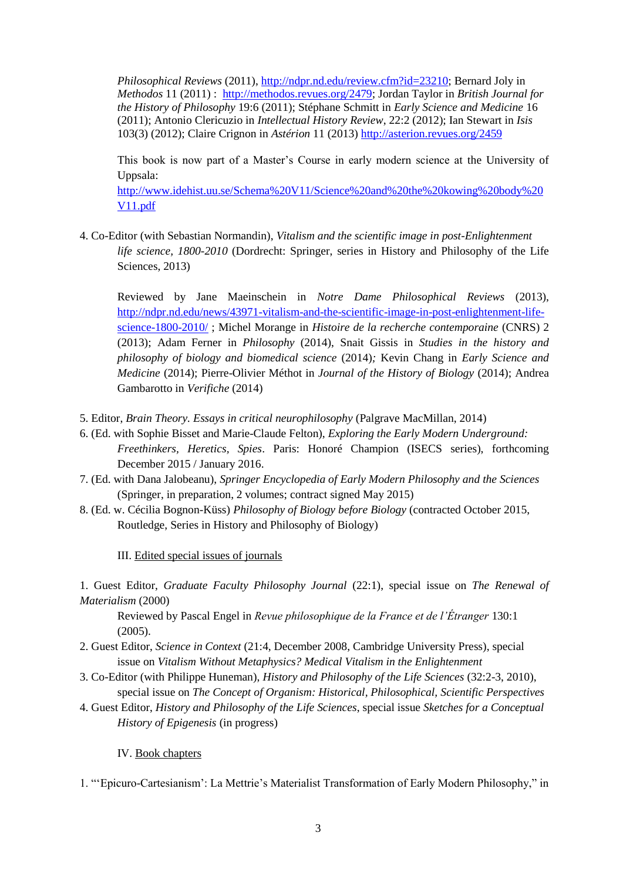*Philosophical Reviews* (2011), [http://ndpr.nd.edu/review.cfm?id=23210;](http://ndpr.nd.edu/review.cfm?id=23210) Bernard Joly in *Methodos* 11 (2011) : [http://methodos.revues.org/2479;](http://methodos.revues.org/2479) Jordan Taylor in *British Journal for the History of Philosophy* 19:6 (2011); Stéphane Schmitt in *Early Science and Medicine* 16 (2011); Antonio Clericuzio in *Intellectual History Review*, 22:2 (2012); Ian Stewart in *Isis* 103(3) (2012); Claire Crignon in *Astérion* 11 (2013)<http://asterion.revues.org/2459>

This book is now part of a Master's Course in early modern science at the University of Uppsala:

[http://www.idehist.uu.se/Schema%20V11/Science%20and%20the%20kowing%20body%20](http://www.idehist.uu.se/Schema%20V11/Science%20and%20the%20kowing%20body%20V11.pdf) [V11.pdf](http://www.idehist.uu.se/Schema%20V11/Science%20and%20the%20kowing%20body%20V11.pdf)

4. Co-Editor (with Sebastian Normandin), *Vitalism and the scientific image in post-Enlightenment life science, 1800-2010* (Dordrecht: Springer, series in History and Philosophy of the Life Sciences, 2013)

Reviewed by Jane Maeinschein in *Notre Dame Philosophical Reviews* (2013), [http://ndpr.nd.edu/news/43971-vitalism-and-the-scientific-image-in-post-enlightenment-life](http://ndpr.nd.edu/news/43971-vitalism-and-the-scientific-image-in-post-enlightenment-life-science-1800-2010/)[science-1800-2010/](http://ndpr.nd.edu/news/43971-vitalism-and-the-scientific-image-in-post-enlightenment-life-science-1800-2010/) ; Michel Morange in *Histoire de la recherche contemporaine* (CNRS) 2 (2013); Adam Ferner in *Philosophy* (2014), Snait Gissis in *Studies in the history and philosophy of biology and biomedical science* (2014)*;* Kevin Chang in *Early Science and Medicine* (2014); Pierre-Olivier Méthot in *Journal of the History of Biology* (2014); Andrea Gambarotto in *Verifiche* (2014)

- 5. Editor, *Brain Theory. Essays in critical neurophilosophy* (Palgrave MacMillan, 2014)
- 6. (Ed. with Sophie Bisset and Marie-Claude Felton), *Exploring the Early Modern Underground: Freethinkers, Heretics, Spies*. Paris: Honoré Champion (ISECS series), forthcoming December 2015 / January 2016.
- 7. (Ed. with Dana Jalobeanu), *Springer Encyclopedia of Early Modern Philosophy and the Sciences* (Springer, in preparation, 2 volumes; contract signed May 2015)
- 8. (Ed. w. Cécilia Bognon-Küss) *Philosophy of Biology before Biology* (contracted October 2015, Routledge, Series in History and Philosophy of Biology)

III. Edited special issues of journals

1. Guest Editor, *Graduate Faculty Philosophy Journal* (22:1), special issue on *The Renewal of Materialism* (2000)

Reviewed by Pascal Engel in *Revue philosophique de la France et de l'Étranger* 130:1 (2005).

- 2. Guest Editor, *Science in Context* (21:4, December 2008, Cambridge University Press), special issue on *Vitalism Without Metaphysics? Medical Vitalism in the Enlightenment*
- 3. Co-Editor (with Philippe Huneman), *History and Philosophy of the Life Sciences* (32:2-3, 2010), special issue on *The Concept of Organism: Historical, Philosophical, Scientific Perspectives*
- 4. Guest Editor, *History and Philosophy of the Life Sciences*, special issue *Sketches for a Conceptual History of Epigenesis* (in progress)

IV. Book chapters

1. "'Epicuro-Cartesianism': La Mettrie's Materialist Transformation of Early Modern Philosophy," in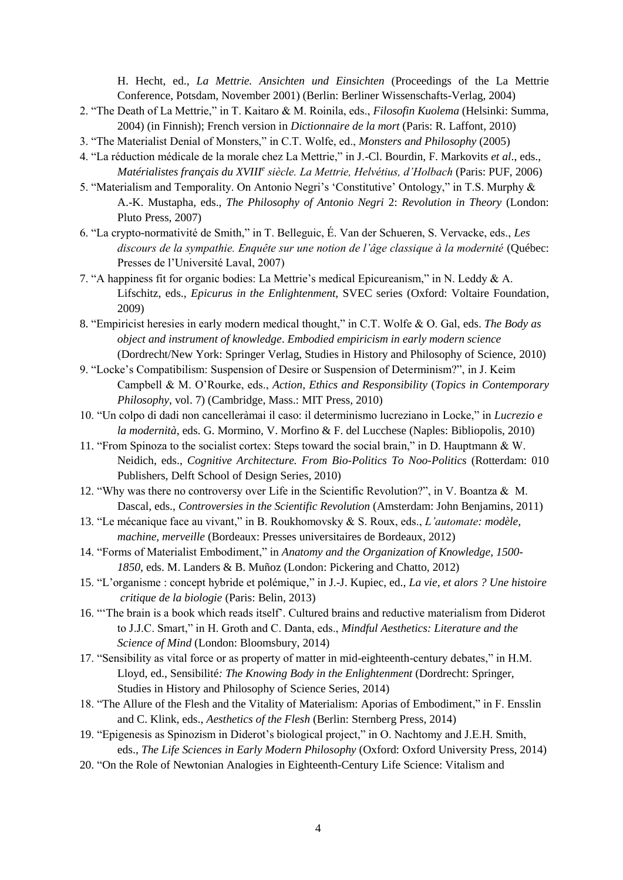H. Hecht, ed., *La Mettrie. Ansichten und Einsichten* (Proceedings of the La Mettrie Conference, Potsdam, November 2001) (Berlin: Berliner Wissenschafts-Verlag, 2004)

- 2. "The Death of La Mettrie," in T. Kaitaro & M. Roinila, eds., *Filosofin Kuolema* (Helsinki: Summa, 2004) (in Finnish); French version in *Dictionnaire de la mort* (Paris: R. Laffont, 2010)
- 3. "The Materialist Denial of Monsters," in C.T. Wolfe, ed., *Monsters and Philosophy* (2005)
- 4. "La réduction médicale de la morale chez La Mettrie," in J.-Cl. Bourdin, F. Markovits *et al*., eds., *Matérialistes français du XVIII<sup>e</sup> siècle. La Mettrie, Helvétius, d'Holbach* (Paris: PUF, 2006)
- 5. "Materialism and Temporality. On Antonio Negri's 'Constitutive' Ontology," in T.S. Murphy & A.-K. Mustapha, eds., *The Philosophy of Antonio Negri* 2: *Revolution in Theory* (London: Pluto Press, 2007)
- 6. "La crypto-normativité de Smith," in T. Belleguic, É. Van der Schueren, S. Vervacke, eds., *Les discours de la sympathie. Enquête sur une notion de l'âge classique à la modernité* (Québec: Presses de l'Université Laval, 2007)
- 7. "A happiness fit for organic bodies: La Mettrie's medical Epicureanism," in N. Leddy & A. Lifschitz, eds., *Epicurus in the Enlightenment*, SVEC series (Oxford: Voltaire Foundation, 2009)
- 8. "Empiricist heresies in early modern medical thought," in C.T. Wolfe & O. Gal, eds. *The Body as object and instrument of knowledge*. *Embodied empiricism in early modern science* (Dordrecht/New York: Springer Verlag, Studies in History and Philosophy of Science, 2010)
- 9. "Locke's Compatibilism: Suspension of Desire or Suspension of Determinism?", in J. Keim Campbell & M. O'Rourke, eds., *Action, Ethics and Responsibility* (*Topics in Contemporary Philosophy*, vol. 7) (Cambridge, Mass.: MIT Press, 2010)
- 10. "Un colpo di dadi non cancelleràmai il caso: il determinismo lucreziano in Locke," in *Lucrezio e la modernità*, eds. G. Mormino, V. Morfino & F. del Lucchese (Naples: Bibliopolis, 2010)
- 11. "From Spinoza to the socialist cortex: Steps toward the social brain," in D. Hauptmann & W. Neidich, eds., *Cognitive Architecture. From Bio-Politics To Noo-Politics* (Rotterdam: 010 Publishers, Delft School of Design Series, 2010)
- 12. "Why was there no controversy over Life in the Scientific Revolution?", in V. Boantza & M. Dascal, eds., *Controversies in the Scientific Revolution* (Amsterdam: John Benjamins, 2011)
- 13. "Le mécanique face au vivant," in B. Roukhomovsky & S. Roux, eds., *L'automate: modèle, machine, merveille* (Bordeaux: Presses universitaires de Bordeaux, 2012)
- 14. "Forms of Materialist Embodiment," in *Anatomy and the Organization of Knowledge, 1500- 1850*, eds. M. Landers & B. Muñoz (London: Pickering and Chatto, 2012)
- 15. "L'organisme : concept hybride et polémique," in J.-J. Kupiec, ed., *La vie, et alors ? Une histoire critique de la biologie* (Paris: Belin, 2013)
- 16. "'The brain is a book which reads itself'. Cultured brains and reductive materialism from Diderot to J.J.C. Smart," in H. Groth and C. Danta, eds., *Mindful Aesthetics: Literature and the Science of Mind* (London: Bloomsbury, 2014)
- 17. "Sensibility as vital force or as property of matter in mid-eighteenth-century debates," in H.M. Lloyd, ed., Sensibilité*: The Knowing Body in the Enlightenment* (Dordrecht: Springer, Studies in History and Philosophy of Science Series, 2014)
- 18. "The Allure of the Flesh and the Vitality of Materialism: Aporias of Embodiment," in F. Ensslin and C. Klink, eds., *Aesthetics of the Flesh* (Berlin: Sternberg Press, 2014)
- 19. "Epigenesis as Spinozism in Diderot's biological project," in O. Nachtomy and J.E.H. Smith, eds., *The Life Sciences in Early Modern Philosophy* (Oxford: Oxford University Press, 2014)
- 20. "On the Role of Newtonian Analogies in Eighteenth-Century Life Science: Vitalism and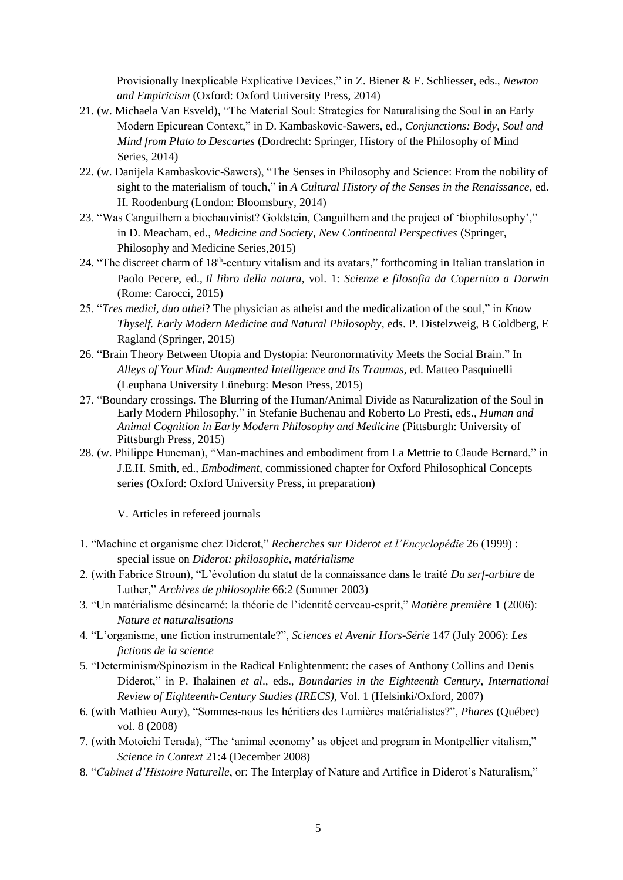Provisionally Inexplicable Explicative Devices," in Z. Biener & E. Schliesser, eds., *Newton and Empiricism* (Oxford: Oxford University Press, 2014)

- 21. (w. Michaela Van Esveld), "The Material Soul: Strategies for Naturalising the Soul in an Early Modern Epicurean Context," in D. Kambaskovic-Sawers, ed., *Conjunctions: Body, Soul and Mind from Plato to Descartes* (Dordrecht: Springer, History of the Philosophy of Mind Series, 2014)
- 22. (w. Danijela Kambaskovic-Sawers), "The Senses in Philosophy and Science: From the nobility of sight to the materialism of touch," in *A Cultural History of the Senses in the Renaissance*, ed. H. Roodenburg (London: Bloomsbury, 2014)
- 23. "Was Canguilhem a biochauvinist? Goldstein, Canguilhem and the project of 'biophilosophy'," in D. Meacham, ed., *Medicine and Society, New Continental Perspectives* (Springer, Philosophy and Medicine Series,2015)
- 24. "The discreet charm of 18<sup>th</sup>-century vitalism and its avatars," forthcoming in Italian translation in Paolo Pecere, ed., *Il libro della natura*, vol. 1: *Scienze e filosofia da Copernico a Darwin* (Rome: Carocci, 2015)
- 25. "*Tres medici, duo athei*? The physician as atheist and the medicalization of the soul," in *Know Thyself. Early Modern Medicine and Natural Philosophy*, eds. P. Distelzweig, B Goldberg, E Ragland (Springer, 2015)
- 26. "Brain Theory Between Utopia and Dystopia: Neuronormativity Meets the Social Brain." In *Alleys of Your Mind: Augmented Intelligence and Its Traumas*, ed. Matteo Pasquinelli (Leuphana University Lüneburg: Meson Press, 2015)
- 27. "Boundary crossings. The Blurring of the Human/Animal Divide as Naturalization of the Soul in Early Modern Philosophy," in Stefanie Buchenau and Roberto Lo Presti, eds., *Human and Animal Cognition in Early Modern Philosophy and Medicine* (Pittsburgh: University of Pittsburgh Press, 2015)
- 28. (w. Philippe Huneman), "Man-machines and embodiment from La Mettrie to Claude Bernard," in J.E.H. Smith, ed., *Embodiment*, commissioned chapter for Oxford Philosophical Concepts series (Oxford: Oxford University Press, in preparation)

V. Articles in refereed journals

- 1. "Machine et organisme chez Diderot," *Recherches sur Diderot et l'Encyclopédie* 26 (1999) : special issue on *Diderot: philosophie, matérialisme*
- 2. (with Fabrice Stroun), "L'évolution du statut de la connaissance dans le traité *Du serf-arbitre* de Luther," *Archives de philosophie* 66:2 (Summer 2003)
- 3. "Un matérialisme désincarné: la théorie de l'identité cerveau-esprit," *Matière première* 1 (2006): *Nature et naturalisations*
- 4. "L'organisme, une fiction instrumentale?", *Sciences et Avenir Hors-Série* 147 (July 2006): *Les fictions de la science*
- 5. "Determinism/Spinozism in the Radical Enlightenment: the cases of Anthony Collins and Denis Diderot," in P. Ihalainen *et al*., eds., *Boundaries in the Eighteenth Century*, *International Review of Eighteenth-Century Studies (IRECS)*, Vol. 1 (Helsinki/Oxford, 2007)
- 6. (with Mathieu Aury), "Sommes-nous les héritiers des Lumières matérialistes?", *Phares* (Québec) vol. 8 (2008)
- 7. (with Motoichi Terada), "The 'animal economy' as object and program in Montpellier vitalism," *Science in Context* 21:4 (December 2008)
- 8. "*Cabinet d'Histoire Naturelle*, or: The Interplay of Nature and Artifice in Diderot's Naturalism,"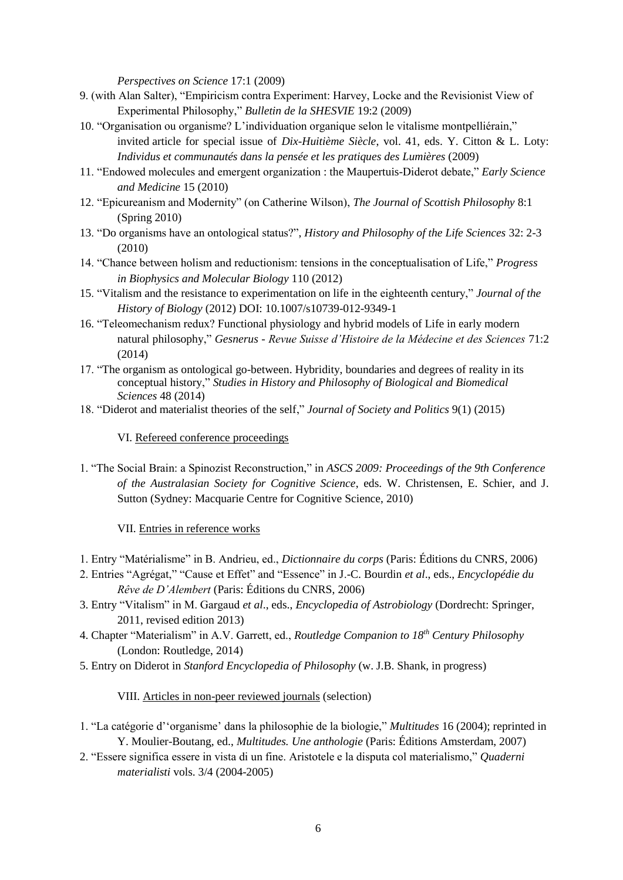*Perspectives on Science* 17:1 (2009)

- 9. (with Alan Salter), "Empiricism contra Experiment: Harvey, Locke and the Revisionist View of Experimental Philosophy," *Bulletin de la SHESVIE* 19:2 (2009)
- 10. "Organisation ou organisme? L'individuation organique selon le vitalisme montpelliérain," invited article for special issue of *Dix-Huitième Siècle*, vol. 41, eds. Y. Citton & L. Loty: *Individus et communautés dans la pensée et les pratiques des Lumières* (2009)
- 11. "Endowed molecules and emergent organization : the Maupertuis-Diderot debate," *Early Science and Medicine* 15 (2010)
- 12. "Epicureanism and Modernity" (on Catherine Wilson), *The Journal of Scottish Philosophy* 8:1 (Spring 2010)
- 13. "Do organisms have an ontological status?", *History and Philosophy of the Life Sciences* 32: 2-3 (2010)
- 14. "Chance between holism and reductionism: tensions in the conceptualisation of Life," *Progress in Biophysics and Molecular Biology* 110 (2012)
- 15. "Vitalism and the resistance to experimentation on life in the eighteenth century," *Journal of the History of Biology* (2012) DOI: 10.1007/s10739-012-9349-1
- 16. "Teleomechanism redux? Functional physiology and hybrid models of Life in early modern natural philosophy," *Gesnerus - Revue Suisse d'Histoire de la Médecine et des Sciences* 71:2 (2014)
- 17. "The organism as ontological go-between. Hybridity, boundaries and degrees of reality in its conceptual history," *Studies in History and Philosophy of Biological and Biomedical Sciences* 48 (2014)
- 18. "Diderot and materialist theories of the self," *Journal of Society and Politics* 9(1) (2015)

#### VI. Refereed conference proceedings

1. "The Social Brain: a Spinozist Reconstruction," in *ASCS 2009: Proceedings of the 9th Conference of the Australasian Society for Cognitive Science*, eds. W. Christensen, E. Schier, and J. Sutton (Sydney: Macquarie Centre for Cognitive Science, 2010)

#### VII. Entries in reference works

- 1. Entry "Matérialisme" in B. Andrieu, ed., *Dictionnaire du corps* (Paris: Éditions du CNRS, 2006)
- 2. Entries "Agrégat," "Cause et Effet" and "Essence" in J.-C. Bourdin *et al*., eds., *Encyclopédie du Rêve de D'Alembert* (Paris: Éditions du CNRS, 2006)
- 3. Entry "Vitalism" in M. Gargaud *et al*., eds., *Encyclopedia of Astrobiology* (Dordrecht: Springer, 2011, revised edition 2013)
- 4. Chapter "Materialism" in A.V. Garrett, ed., *Routledge Companion to 18th Century Philosophy* (London: Routledge, 2014)
- 5. Entry on Diderot in *Stanford Encyclopedia of Philosophy* (w. J.B. Shank, in progress)

#### VIII. Articles in non-peer reviewed journals (selection)

- 1. "La catégorie d''organisme' dans la philosophie de la biologie," *Multitudes* 16 (2004); reprinted in Y. Moulier-Boutang, ed., *Multitudes. Une anthologie* (Paris: Éditions Amsterdam, 2007)
- 2. "Essere significa essere in vista di un fine. Aristotele e la disputa col materialismo," *Quaderni materialisti* vols. 3/4 (2004-2005)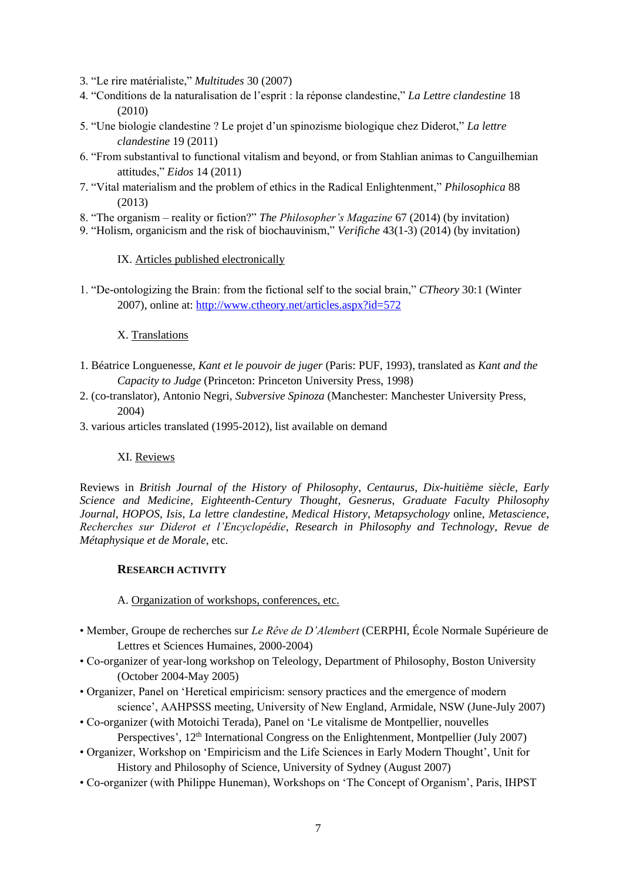- 3. "Le rire matérialiste," *Multitudes* 30 (2007)
- 4. "Conditions de la naturalisation de l'esprit : la réponse clandestine," *La Lettre clandestine* 18 (2010)
- 5. "Une biologie clandestine ? Le projet d'un spinozisme biologique chez Diderot," *La lettre clandestine* 19 (2011)
- 6. "From substantival to functional vitalism and beyond, or from Stahlian animas to Canguilhemian attitudes," *Eidos* 14 (2011)
- 7. "Vital materialism and the problem of ethics in the Radical Enlightenment," *Philosophica* 88 (2013)
- 8. "The organism reality or fiction?" *The Philosopher's Magazine* 67 (2014) (by invitation)
- 9. "Holism, organicism and the risk of biochauvinism," *Verifiche* 43(1-3) (2014) (by invitation)

### IX. Articles published electronically

1. "De-ontologizing the Brain: from the fictional self to the social brain," *CTheory* 30:1 (Winter 2007), online at: [http://www.ctheory.net/articles.aspx?id=572](https://www-mail.usyd.edu.au/horde/util/go.php?url=http%3A%2F%2Fwww.ctheory.net%2Farticles.aspx%3Fid%3D572&Horde=510a4e62d08be9a128c2d1b2ef5188f2)

### X. Translations

- 1. Béatrice Longuenesse, *Kant et le pouvoir de juger* (Paris: PUF, 1993), translated as *Kant and the Capacity to Judge* (Princeton: Princeton University Press, 1998)
- 2. (co-translator), Antonio Negri, *Subversive Spinoza* (Manchester: Manchester University Press, 2004)
- 3. various articles translated (1995-2012), list available on demand

## XI. Reviews

Reviews in *British Journal of the History of Philosophy*, *Centaurus*, *Dix-huitième siècle*, *Early Science and Medicine*, *Eighteenth-Century Thought*, *Gesnerus*, *Graduate Faculty Philosophy Journal*, *HOPOS*, *Isis*, *La lettre clandestine, Medical History*, *Metapsychology* online, *Metascience*, *Recherches sur Diderot et l'Encyclopédie*, *Research in Philosophy and Technology*, *Revue de Métaphysique et de Morale*, etc.

## **RESEARCH ACTIVITY**

### A. Organization of workshops, conferences, etc.

- Member, Groupe de recherches sur *Le Rêve de D'Alembert* (CERPHI, École Normale Supérieure de Lettres et Sciences Humaines, 2000-2004)
- Co-organizer of year-long workshop on Teleology, Department of Philosophy, Boston University (October 2004-May 2005)
- Organizer, Panel on 'Heretical empiricism: sensory practices and the emergence of modern science', AAHPSSS meeting, University of New England, Armidale, NSW (June-July 2007)
- Co-organizer (with Motoichi Terada), Panel on 'Le vitalisme de Montpellier, nouvelles Perspectives', 12<sup>th</sup> International Congress on the Enlightenment, Montpellier (July 2007)
- Organizer, Workshop on 'Empiricism and the Life Sciences in Early Modern Thought', Unit for History and Philosophy of Science, University of Sydney (August 2007)
- Co-organizer (with Philippe Huneman), Workshops on 'The Concept of Organism', Paris, IHPST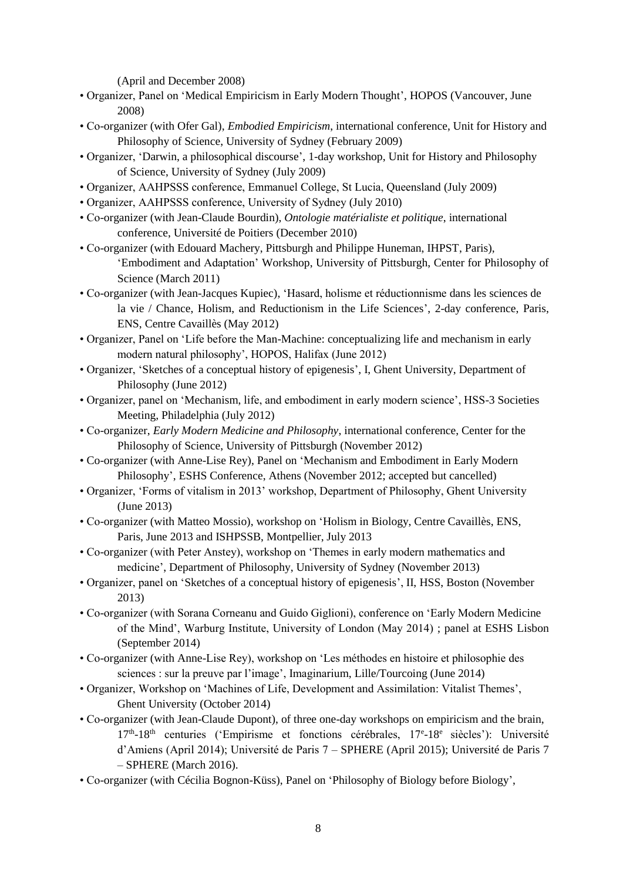(April and December 2008)

- Organizer, Panel on 'Medical Empiricism in Early Modern Thought', HOPOS (Vancouver, June 2008)
- Co-organizer (with Ofer Gal), *Embodied Empiricism*, international conference, Unit for History and Philosophy of Science, University of Sydney (February 2009)
- Organizer, 'Darwin, a philosophical discourse', 1-day workshop, Unit for History and Philosophy of Science, University of Sydney (July 2009)
- Organizer, AAHPSSS conference, Emmanuel College, St Lucia, Queensland (July 2009)
- Organizer, AAHPSSS conference, University of Sydney (July 2010)
- Co-organizer (with Jean-Claude Bourdin), *Ontologie matérialiste et politique*, international conference, Université de Poitiers (December 2010)
- Co-organizer (with Edouard Machery, Pittsburgh and Philippe Huneman, IHPST, Paris), 'Embodiment and Adaptation' Workshop, University of Pittsburgh, Center for Philosophy of Science (March 2011)
- Co-organizer (with Jean-Jacques Kupiec), 'Hasard, holisme et réductionnisme dans les sciences de la vie / Chance, Holism, and Reductionism in the Life Sciences', 2-day conference, Paris, ENS, Centre Cavaillès (May 2012)
- Organizer, Panel on 'Life before the Man-Machine: conceptualizing life and mechanism in early modern natural philosophy', HOPOS, Halifax (June 2012)
- Organizer, 'Sketches of a conceptual history of epigenesis', I, Ghent University, Department of Philosophy (June 2012)
- Organizer, panel on 'Mechanism, life, and embodiment in early modern science', HSS-3 Societies Meeting, Philadelphia (July 2012)
- Co-organizer, *Early Modern Medicine and Philosophy*, international conference, Center for the Philosophy of Science, University of Pittsburgh (November 2012)
- Co-organizer (with Anne-Lise Rey), Panel on 'Mechanism and Embodiment in Early Modern Philosophy', ESHS Conference, Athens (November 2012; accepted but cancelled)
- Organizer, 'Forms of vitalism in 2013' workshop, Department of Philosophy, Ghent University (June 2013)
- Co-organizer (with Matteo Mossio), workshop on 'Holism in Biology, Centre Cavaillès, ENS, Paris, June 2013 and ISHPSSB, Montpellier, July 2013
- Co-organizer (with Peter Anstey), workshop on 'Themes in early modern mathematics and medicine', Department of Philosophy, University of Sydney (November 2013)
- Organizer, panel on 'Sketches of a conceptual history of epigenesis', II, HSS, Boston (November 2013)
- Co-organizer (with Sorana Corneanu and Guido Giglioni), conference on 'Early Modern Medicine of the Mind', Warburg Institute, University of London (May 2014) ; panel at ESHS Lisbon (September 2014)
- Co-organizer (with Anne-Lise Rey), workshop on 'Les méthodes en histoire et philosophie des sciences : sur la preuve par l'image', Imaginarium, Lille/Tourcoing (June 2014)
- Organizer, Workshop on 'Machines of Life, Development and Assimilation: Vitalist Themes', Ghent University (October 2014)
- Co-organizer (with Jean-Claude Dupont), of three one-day workshops on empiricism and the brain, 17<sup>th</sup>-18<sup>th</sup> centuries ('Empirisme et fonctions cérébrales, 17<sup>e</sup>-18<sup>e</sup> siècles'): Université d'Amiens (April 2014); Université de Paris 7 – SPHERE (April 2015); Université de Paris 7 – SPHERE (March 2016).
- Co-organizer (with Cécilia Bognon-Küss), Panel on 'Philosophy of Biology before Biology',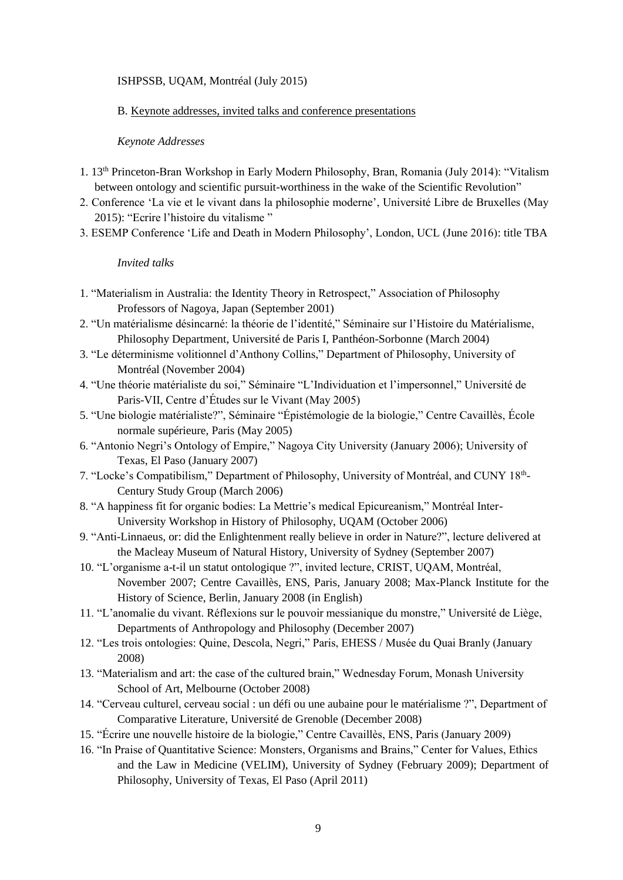### ISHPSSB, UQAM, Montréal (July 2015)

#### B. Keynote addresses, invited talks and conference presentations

#### *Keynote Addresses*

- 1. 13th Princeton-Bran Workshop in Early Modern Philosophy, Bran, Romania (July 2014): "Vitalism between ontology and scientific pursuit-worthiness in the wake of the Scientific Revolution"
- 2. Conference 'La vie et le vivant dans la philosophie moderne', Université Libre de Bruxelles (May 2015): "Ecrire l'histoire du vitalisme "
- 3. ESEMP Conference 'Life and Death in Modern Philosophy', London, UCL (June 2016): title TBA

#### *Invited talks*

- 1. "Materialism in Australia: the Identity Theory in Retrospect," Association of Philosophy Professors of Nagoya, Japan (September 2001)
- 2. "Un matérialisme désincarné: la théorie de l'identité," Séminaire sur l'Histoire du Matérialisme, Philosophy Department, Université de Paris I, Panthéon-Sorbonne (March 2004)
- 3. "Le déterminisme volitionnel d'Anthony Collins," Department of Philosophy, University of Montréal (November 2004)
- 4. "Une théorie matérialiste du soi," Séminaire "L'Individuation et l'impersonnel," Université de Paris-VII, Centre d'Études sur le Vivant (May 2005)
- 5. "Une biologie matérialiste?", Séminaire "Épistémologie de la biologie," Centre Cavaillès, École normale supérieure, Paris (May 2005)
- 6. "Antonio Negri's Ontology of Empire," Nagoya City University (January 2006); University of Texas, El Paso (January 2007)
- 7. "Locke's Compatibilism," Department of Philosophy, University of Montréal, and CUNY 18<sup>th</sup>-Century Study Group (March 2006)
- 8. "A happiness fit for organic bodies: La Mettrie's medical Epicureanism," Montréal Inter-University Workshop in History of Philosophy, UQAM (October 2006)
- 9. "Anti-Linnaeus, or: did the Enlightenment really believe in order in Nature?", lecture delivered at the Macleay Museum of Natural History, University of Sydney (September 2007)
- 10. "L'organisme a-t-il un statut ontologique ?", invited lecture, CRIST, UQAM, Montréal, November 2007; Centre Cavaillès, ENS, Paris, January 2008; Max-Planck Institute for the History of Science, Berlin, January 2008 (in English)
- 11. "L'anomalie du vivant. Réflexions sur le pouvoir messianique du monstre," Université de Liège, Departments of Anthropology and Philosophy (December 2007)
- 12. "Les trois ontologies: Quine, Descola, Negri," Paris, EHESS / Musée du Quai Branly (January 2008)
- 13. "Materialism and art: the case of the cultured brain," Wednesday Forum, Monash University School of Art, Melbourne (October 2008)
- 14. "Cerveau culturel, cerveau social : un défi ou une aubaine pour le matérialisme ?", Department of Comparative Literature, Université de Grenoble (December 2008)
- 15. "Écrire une nouvelle histoire de la biologie," Centre Cavaillès, ENS, Paris (January 2009)
- 16. "In Praise of Quantitative Science: Monsters, Organisms and Brains," Center for Values, Ethics and the Law in Medicine (VELIM), University of Sydney (February 2009); Department of Philosophy, University of Texas, El Paso (April 2011)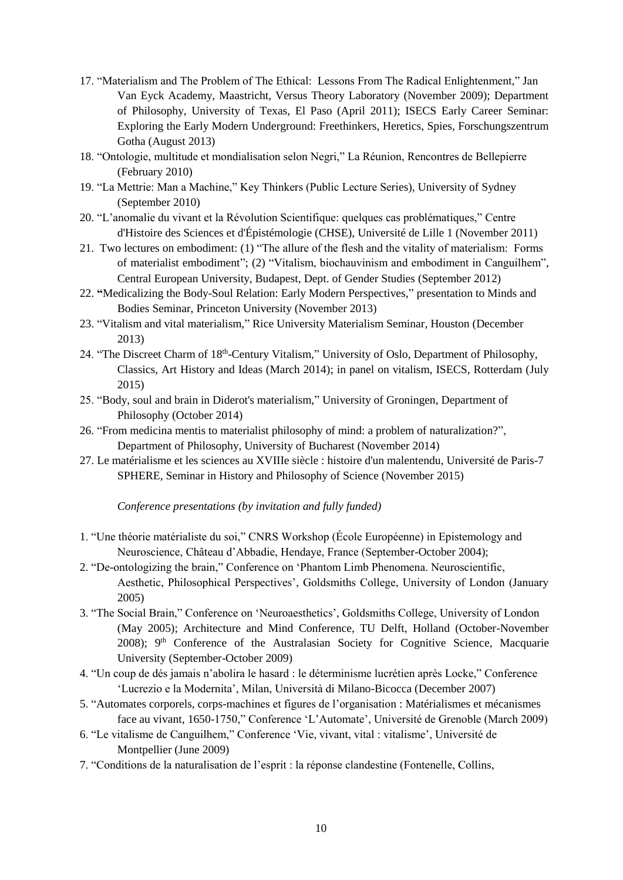- 17. "Materialism and The Problem of The Ethical: Lessons From The Radical Enlightenment," Jan Van Eyck Academy, Maastricht, Versus Theory Laboratory (November 2009); Department of Philosophy, University of Texas, El Paso (April 2011); ISECS Early Career Seminar: Exploring the Early Modern Underground: Freethinkers, Heretics, Spies, Forschungszentrum Gotha (August 2013)
- 18. "Ontologie, multitude et mondialisation selon Negri," La Réunion, Rencontres de Bellepierre (February 2010)
- 19. "La Mettrie: Man a Machine," Key Thinkers (Public Lecture Series), University of Sydney (September 2010)
- 20. "L'anomalie du vivant et la Révolution Scientifique: quelques cas problématiques," Centre d'Histoire des Sciences et d'Épistémologie (CHSE), Université de Lille 1 (November 2011)
- 21. Two lectures on embodiment: (1) "The allure of the flesh and the vitality of materialism: Forms of materialist embodiment"; (2) "Vitalism, biochauvinism and embodiment in Canguilhem", Central European University, Budapest, Dept. of Gender Studies (September 2012)
- 22. **"**Medicalizing the Body-Soul Relation: Early Modern Perspectives," presentation to Minds and Bodies Seminar, Princeton University (November 2013)
- 23. "Vitalism and vital materialism," Rice University Materialism Seminar, Houston (December 2013)
- 24. "The Discreet Charm of 18<sup>th</sup>-Century Vitalism," University of Oslo, Department of Philosophy, Classics, Art History and Ideas (March 2014); in panel on vitalism, ISECS, Rotterdam (July 2015)
- 25. "Body, soul and brain in Diderot's materialism," University of Groningen, Department of Philosophy (October 2014)
- 26. "From medicina mentis to materialist philosophy of mind: a problem of naturalization?", Department of Philosophy, University of Bucharest (November 2014)
- 27. Le matérialisme et les sciences au XVIIIe siècle : histoire d'un malentendu, Université de Paris-7 SPHERE, Seminar in History and Philosophy of Science (November 2015)

*Conference presentations (by invitation and fully funded)*

- 1. "Une théorie matérialiste du soi," CNRS Workshop (École Européenne) in Epistemology and Neuroscience, Château d'Abbadie, Hendaye, France (September-October 2004);
- 2. "De-ontologizing the brain," Conference on 'Phantom Limb Phenomena. Neuroscientific, Aesthetic, Philosophical Perspectives', Goldsmiths College, University of London (January 2005)
- 3. "The Social Brain," Conference on 'Neuroaesthetics', Goldsmiths College, University of London (May 2005); Architecture and Mind Conference, TU Delft, Holland (October-November 2008); 9<sup>th</sup> Conference of the Australasian Society for Cognitive Science, Macquarie University (September-October 2009)
- 4. "Un coup de dés jamais n'abolira le hasard : le déterminisme lucrétien après Locke," Conference 'Lucrezio e la Modernita', Milan, Università di Milano-Bicocca (December 2007)
- 5. "Automates corporels, corps-machines et figures de l'organisation : Matérialismes et mécanismes face au vivant, 1650-1750," Conference 'L'Automate', Université de Grenoble (March 2009)
- 6. "Le vitalisme de Canguilhem," Conference 'Vie, vivant, vital : vitalisme', Université de Montpellier (June 2009)
- 7. "Conditions de la naturalisation de l'esprit : la réponse clandestine (Fontenelle, Collins,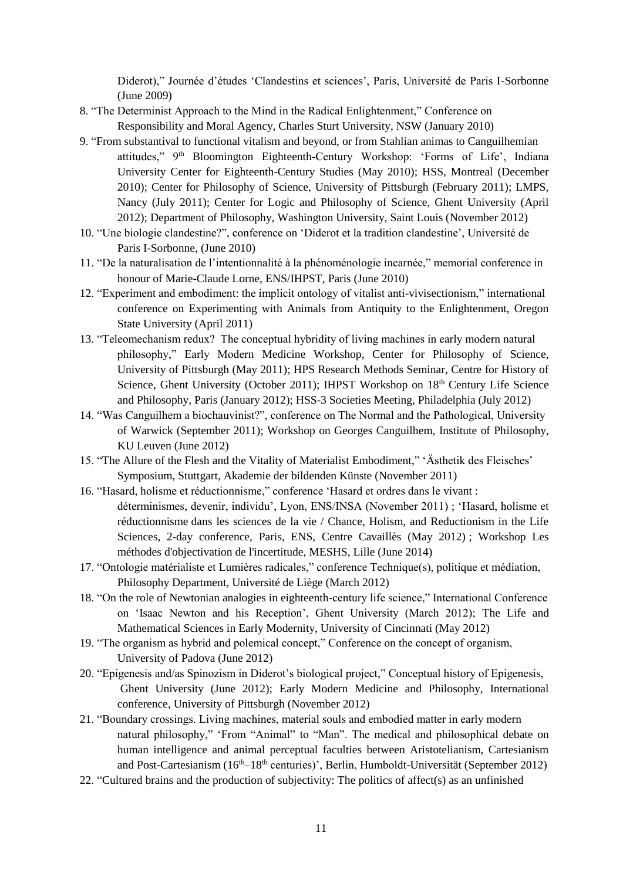Diderot)," Journée d'études 'Clandestins et sciences', Paris, Université de Paris I-Sorbonne (June 2009)

- 8. "The Determinist Approach to the Mind in the Radical Enlightenment," Conference on Responsibility and Moral Agency, Charles Sturt University, NSW (January 2010)
- 9. "From substantival to functional vitalism and beyond, or from Stahlian animas to Canguilhemian attitudes," 9<sup>th</sup> Bloomington Eighteenth-Century Workshop: 'Forms of Life', Indiana University Center for Eighteenth-Century Studies (May 2010); HSS, Montreal (December 2010); Center for Philosophy of Science, University of Pittsburgh (February 2011); LMPS, Nancy (July 2011); Center for Logic and Philosophy of Science, Ghent University (April 2012); Department of Philosophy, Washington University, Saint Louis (November 2012)
- 10. "Une biologie clandestine?", conference on 'Diderot et la tradition clandestine', Université de Paris I-Sorbonne, (June 2010)
- 11. "De la naturalisation de l'intentionnalité à la phénoménologie incarnée," memorial conference in honour of Marie-Claude Lorne, ENS/IHPST, Paris (June 2010)
- 12. "Experiment and embodiment: the implicit ontology of vitalist anti-vivisectionism," international conference on Experimenting with Animals from Antiquity to the Enlightenment, Oregon State University (April 2011)
- 13. "Teleomechanism redux? The conceptual hybridity of living machines in early modern natural philosophy," Early Modern Medicine Workshop, Center for Philosophy of Science, University of Pittsburgh (May 2011); HPS Research Methods Seminar, Centre for History of Science, Ghent University (October 2011); IHPST Workshop on 18<sup>th</sup> Century Life Science and Philosophy, Paris (January 2012); HSS-3 Societies Meeting, Philadelphia (July 2012)
- 14. "Was Canguilhem a biochauvinist?", conference on The Normal and the Pathological, University of Warwick (September 2011); Workshop on Georges Canguilhem, Institute of Philosophy, KU Leuven (June 2012)
- 15. "The Allure of the Flesh and the Vitality of Materialist Embodiment," 'Ästhetik des Fleisches' Symposium, Stuttgart, Akademie der bildenden Künste (November 2011)
- 16. "Hasard, holisme et réductionnisme," conference 'Hasard et ordres dans le vivant : déterminismes, devenir, individu', Lyon, ENS/INSA (November 2011) ; 'Hasard, holisme et réductionnisme dans les sciences de la vie / Chance, Holism, and Reductionism in the Life Sciences, 2-day conference, Paris, ENS, Centre Cavaillès (May 2012) ; Workshop Les méthodes d'objectivation de l'incertitude, MESHS, Lille (June 2014)
- 17. "Ontologie matérialiste et Lumières radicales," conference Technique(s), politique et médiation, Philosophy Department, Université de Liège (March 2012)
- 18. "On the role of Newtonian analogies in eighteenth-century life science," International Conference on 'Isaac Newton and his Reception', Ghent University (March 2012); The Life and Mathematical Sciences in Early Modernity, University of Cincinnati (May 2012)
- 19. "The organism as hybrid and polemical concept," Conference on the concept of organism, University of Padova (June 2012)
- 20. "Epigenesis and/as Spinozism in Diderot's biological project," Conceptual history of Epigenesis, Ghent University (June 2012); Early Modern Medicine and Philosophy, International conference, University of Pittsburgh (November 2012)
- 21. "Boundary crossings. Living machines, material souls and embodied matter in early modern natural philosophy," 'From "Animal" to "Man". The medical and philosophical debate on human intelligence and animal perceptual faculties between Aristotelianism, Cartesianism and Post-Cartesianism  $(16<sup>th</sup>-18<sup>th</sup>$  centuries)', Berlin, Humboldt-Universität (September 2012)
- 22. "Cultured brains and the production of subjectivity: The politics of affect(s) as an unfinished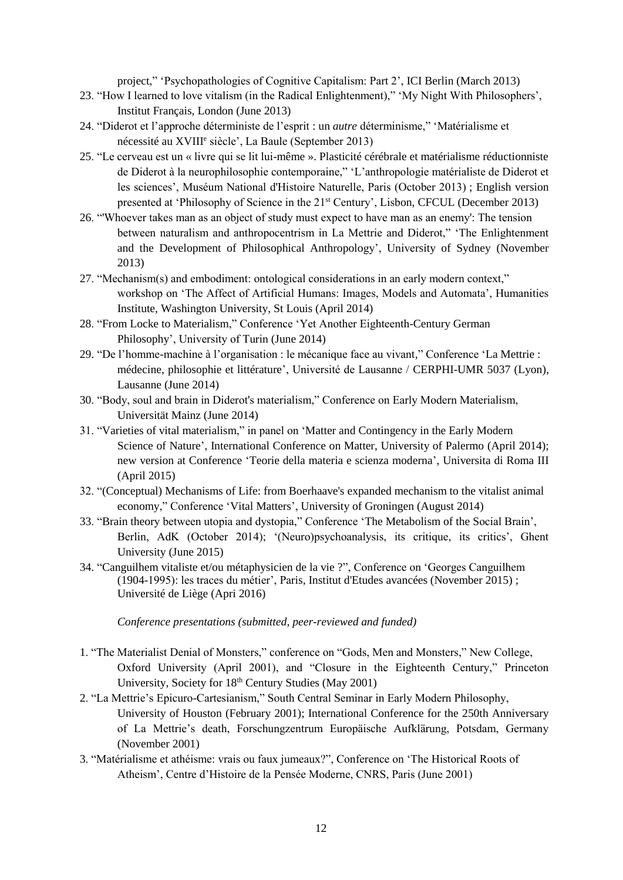project," 'Psychopathologies of Cognitive Capitalism: Part 2', ICI Berlin (March 2013)

- 23. "How I learned to love vitalism (in the Radical Enlightenment)," 'My Night With Philosophers', Institut Français, London (June 2013)
- 24. "Diderot et l'approche déterministe de l'esprit : un *autre* déterminisme," 'Matérialisme et nécessité au XVIII<sup>e</sup> siècle', La Baule (September 2013)
- 25. "Le cerveau est un « livre qui se lit lui-même ». Plasticité cérébrale et matérialisme réductionniste de Diderot à la neurophilosophie contemporaine," 'L'anthropologie matérialiste de Diderot et les sciences', Muséum National d'Histoire Naturelle, Paris (October 2013) ; English version presented at 'Philosophy of Science in the 21st Century', Lisbon, CFCUL (December 2013)
- 26. "'Whoever takes man as an object of study must expect to have man as an enemy': The tension between naturalism and anthropocentrism in La Mettrie and Diderot," 'The Enlightenment and the Development of Philosophical Anthropology', University of Sydney (November 2013)
- 27. "Mechanism(s) and embodiment: ontological considerations in an early modern context," workshop on 'The Affect of Artificial Humans: Images, Models and Automata', Humanities Institute, Washington University, St Louis (April 2014)
- 28. "From Locke to Materialism," Conference 'Yet Another Eighteenth-Century German Philosophy', University of Turin (June 2014)
- 29. "De l'homme-machine à l'organisation : le mécanique face au vivant," Conference 'La Mettrie : médecine, philosophie et littérature', Université de Lausanne / CERPHI-UMR 5037 (Lyon), Lausanne (June 2014)
- 30. "Body, soul and brain in Diderot's materialism," Conference on Early Modern Materialism, Universität Mainz (June 2014)
- 31. "Varieties of vital materialism," in panel on 'Matter and Contingency in the Early Modern Science of Nature', International Conference on Matter, University of Palermo (April 2014); new version at Conference 'Teorie della materia e scienza moderna', Universita di Roma III (April 2015)
- 32. "(Conceptual) Mechanisms of Life: from Boerhaave's expanded mechanism to the vitalist animal economy," Conference 'Vital Matters', University of Groningen (August 2014)
- 33. "Brain theory between utopia and dystopia," Conference 'The Metabolism of the Social Brain', Berlin, AdK (October 2014); '(Neuro)psychoanalysis, its critique, its critics', Ghent University (June 2015)
- 34. "Canguilhem vitaliste et/ou métaphysicien de la vie ?", Conference on 'Georges Canguilhem (1904-1995): les traces du métier', Paris, Institut d'Etudes avancées (November 2015) ; Université de Liège (Apri 2016)

*Conference presentations (submitted, peer-reviewed and funded)*

- 1. "The Materialist Denial of Monsters," conference on "Gods, Men and Monsters," New College, Oxford University (April 2001), and "Closure in the Eighteenth Century," Princeton University, Society for 18<sup>th</sup> Century Studies (May 2001)
- 2. "La Mettrie's Epicuro-Cartesianism," South Central Seminar in Early Modern Philosophy, University of Houston (February 2001); International Conference for the 250th Anniversary of La Mettrie's death, Forschungzentrum Europäische Aufklärung, Potsdam, Germany (November 2001)
- 3. "Matérialisme et athéisme: vrais ou faux jumeaux?", Conference on 'The Historical Roots of Atheism', Centre d'Histoire de la Pensée Moderne, CNRS, Paris (June 2001)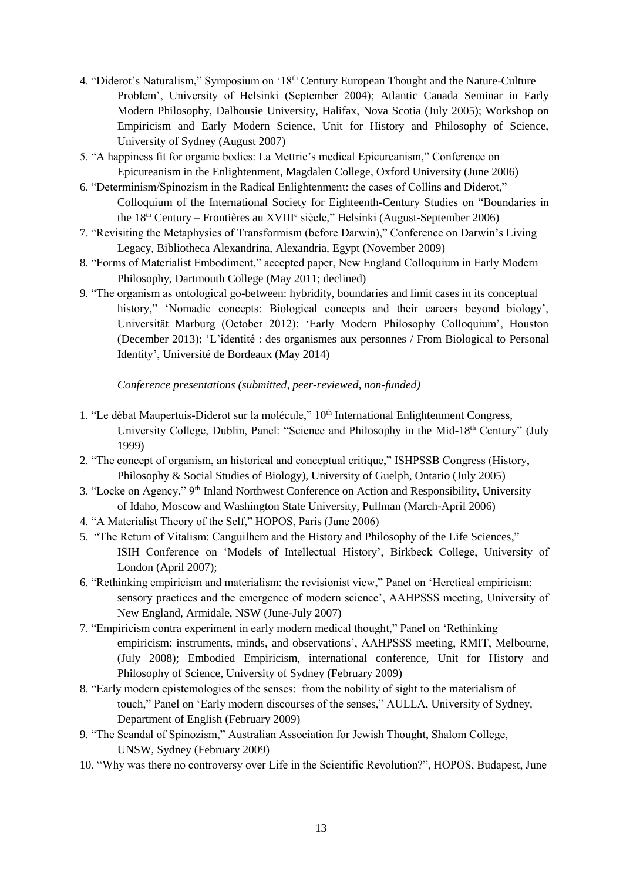- 4. "Diderot's Naturalism," Symposium on '18<sup>th</sup> Century European Thought and the Nature-Culture Problem', University of Helsinki (September 2004); Atlantic Canada Seminar in Early Modern Philosophy, Dalhousie University, Halifax, Nova Scotia (July 2005); Workshop on Empiricism and Early Modern Science, Unit for History and Philosophy of Science, University of Sydney (August 2007)
- 5. "A happiness fit for organic bodies: La Mettrie's medical Epicureanism," Conference on Epicureanism in the Enlightenment, Magdalen College, Oxford University (June 2006)
- 6. "Determinism/Spinozism in the Radical Enlightenment: the cases of Collins and Diderot," Colloquium of the International Society for Eighteenth-Century Studies on "Boundaries in the 18<sup>th</sup> Century – Frontières au XVIII<sup>e</sup> siècle," Helsinki (August-September 2006)
- 7. "Revisiting the Metaphysics of Transformism (before Darwin)," Conference on Darwin's Living Legacy, Bibliotheca Alexandrina, Alexandria, Egypt (November 2009)
- 8. "Forms of Materialist Embodiment," accepted paper, New England Colloquium in Early Modern Philosophy, Dartmouth College (May 2011; declined)
- 9. "The organism as ontological go-between: hybridity, boundaries and limit cases in its conceptual history," 'Nomadic concepts: Biological concepts and their careers beyond biology', Universität Marburg (October 2012); 'Early Modern Philosophy Colloquium', Houston (December 2013); 'L'identité : des organismes aux personnes / From Biological to Personal Identity', Université de Bordeaux (May 2014)

*Conference presentations (submitted, peer-reviewed, non-funded)*

- 1. "Le débat Maupertuis-Diderot sur la molécule," 10<sup>th</sup> International Enlightenment Congress, University College, Dublin, Panel: "Science and Philosophy in the Mid-18<sup>th</sup> Century" (July 1999)
- 2. "The concept of organism, an historical and conceptual critique," ISHPSSB Congress (History, Philosophy & Social Studies of Biology), University of Guelph, Ontario (July 2005)
- 3. "Locke on Agency," 9th Inland Northwest Conference on Action and Responsibility, University of Idaho, Moscow and Washington State University, Pullman (March-April 2006)
- 4. "A Materialist Theory of the Self," HOPOS, Paris (June 2006)
- 5. "The Return of Vitalism: Canguilhem and the History and Philosophy of the Life Sciences," ISIH Conference on 'Models of Intellectual History', Birkbeck College, University of London (April 2007);
- 6. "Rethinking empiricism and materialism: the revisionist view," Panel on 'Heretical empiricism: sensory practices and the emergence of modern science', AAHPSSS meeting, University of New England, Armidale, NSW (June-July 2007)
- 7. "Empiricism contra experiment in early modern medical thought," Panel on 'Rethinking empiricism: instruments, minds, and observations', AAHPSSS meeting, RMIT, Melbourne, (July 2008); Embodied Empiricism, international conference, Unit for History and Philosophy of Science, University of Sydney (February 2009)
- 8. "Early modern epistemologies of the senses: from the nobility of sight to the materialism of touch," Panel on 'Early modern discourses of the senses," AULLA, University of Sydney, Department of English (February 2009)
- 9. "The Scandal of Spinozism," Australian Association for Jewish Thought, Shalom College, UNSW, Sydney (February 2009)
- 10. "Why was there no controversy over Life in the Scientific Revolution?", HOPOS, Budapest, June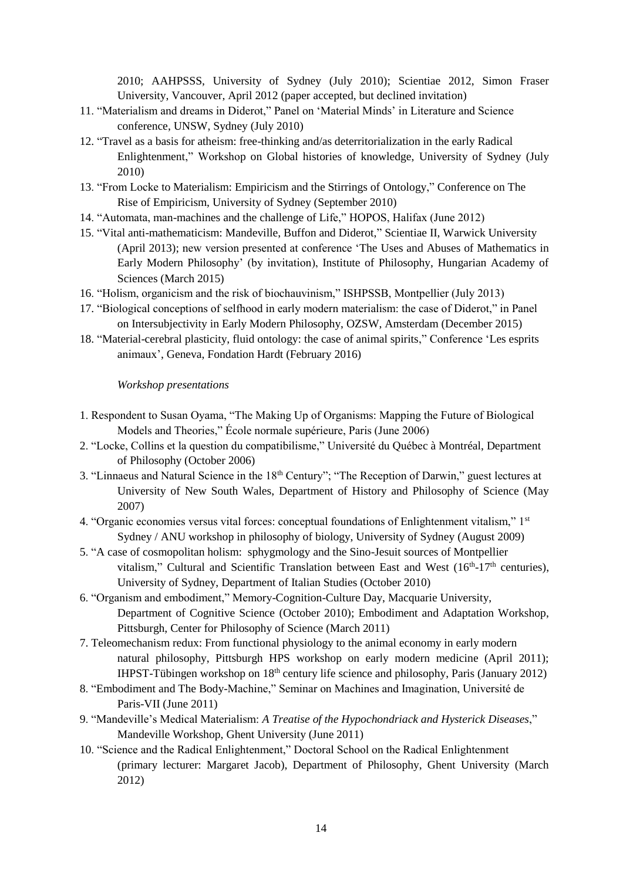2010; AAHPSSS, University of Sydney (July 2010); Scientiae 2012, Simon Fraser University, Vancouver, April 2012 (paper accepted, but declined invitation)

- 11. "Materialism and dreams in Diderot," Panel on 'Material Minds' in Literature and Science conference, UNSW, Sydney (July 2010)
- 12. "Travel as a basis for atheism: free-thinking and/as deterritorialization in the early Radical Enlightenment," Workshop on Global histories of knowledge, University of Sydney (July 2010)
- 13. "From Locke to Materialism: Empiricism and the Stirrings of Ontology," Conference on The Rise of Empiricism, University of Sydney (September 2010)
- 14. "Automata, man-machines and the challenge of Life," HOPOS, Halifax (June 2012)
- 15. "Vital anti-mathematicism: Mandeville, Buffon and Diderot," Scientiae II, Warwick University (April 2013); new version presented at conference 'The Uses and Abuses of Mathematics in Early Modern Philosophy' (by invitation), Institute of Philosophy, Hungarian Academy of Sciences (March 2015)
- 16. "Holism, organicism and the risk of biochauvinism," ISHPSSB, Montpellier (July 2013)
- 17. "Biological conceptions of selfhood in early modern materialism: the case of Diderot," in Panel on Intersubjectivity in Early Modern Philosophy, OZSW, Amsterdam (December 2015)
- 18. "Material-cerebral plasticity, fluid ontology: the case of animal spirits," Conference 'Les esprits animaux', Geneva, Fondation Hardt (February 2016)

*Workshop presentations*

- 1. Respondent to Susan Oyama, "The Making Up of Organisms: Mapping the Future of Biological Models and Theories," École normale supérieure, Paris (June 2006)
- 2. "Locke, Collins et la question du compatibilisme," Université du Québec à Montréal, Department of Philosophy (October 2006)
- 3. "Linnaeus and Natural Science in the 18th Century"; "The Reception of Darwin," guest lectures at University of New South Wales, Department of History and Philosophy of Science (May 2007)
- 4. "Organic economies versus vital forces: conceptual foundations of Enlightenment vitalism," 1st Sydney / ANU workshop in philosophy of biology, University of Sydney (August 2009)
- 5. "A case of cosmopolitan holism: sphygmology and the Sino-Jesuit sources of Montpellier vitalism," Cultural and Scientific Translation between East and West  $(16<sup>th</sup>-17<sup>th</sup>$  centuries), University of Sydney, Department of Italian Studies (October 2010)
- 6. "Organism and embodiment," Memory-Cognition-Culture Day, Macquarie University, Department of Cognitive Science (October 2010); Embodiment and Adaptation Workshop, Pittsburgh, Center for Philosophy of Science (March 2011)
- 7. Teleomechanism redux: From functional physiology to the animal economy in early modern natural philosophy, Pittsburgh HPS workshop on early modern medicine (April 2011); IHPST-Tübingen workshop on  $18<sup>th</sup>$  century life science and philosophy, Paris (January 2012)
- 8. "Embodiment and The Body-Machine," Seminar on Machines and Imagination, Université de Paris-VII (June 2011)
- 9. "Mandeville's Medical Materialism: *A Treatise of the Hypochondriack and Hysterick Diseases*," Mandeville Workshop, Ghent University (June 2011)
- 10. "Science and the Radical Enlightenment," Doctoral School on the Radical Enlightenment (primary lecturer: Margaret Jacob), Department of Philosophy, Ghent University (March 2012)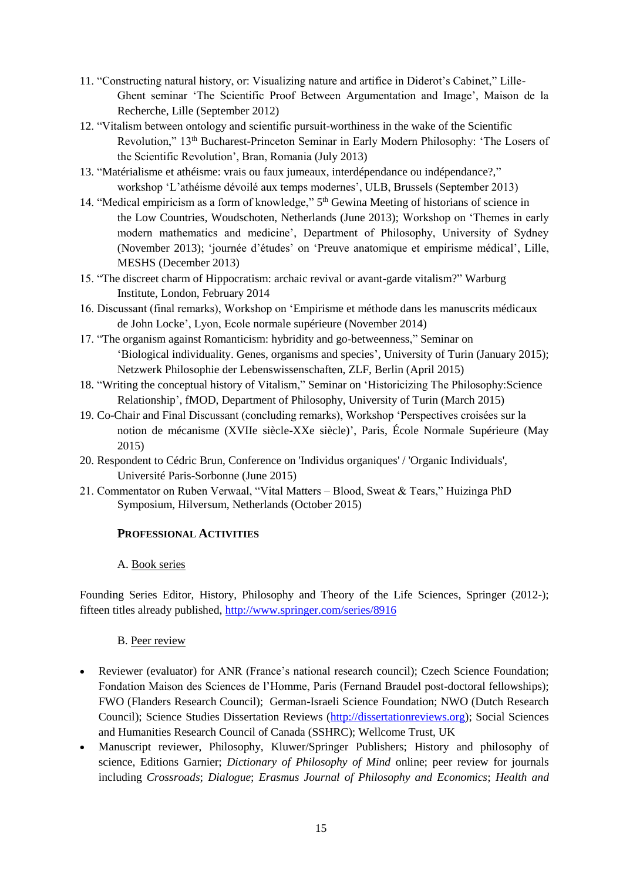- 11. "Constructing natural history, or: Visualizing nature and artifice in Diderot's Cabinet," Lille-Ghent seminar 'The Scientific Proof Between Argumentation and Image', Maison de la Recherche, Lille (September 2012)
- 12. "Vitalism between ontology and scientific pursuit-worthiness in the wake of the Scientific Revolution," 13th Bucharest-Princeton Seminar in Early Modern Philosophy: 'The Losers of the Scientific Revolution', Bran, Romania (July 2013)
- 13. "Matérialisme et athéisme: vrais ou faux jumeaux, interdépendance ou indépendance?," workshop 'L'athéisme dévoilé aux temps modernes', ULB, Brussels (September 2013)
- 14. "Medical empiricism as a form of knowledge," 5<sup>th</sup> Gewina Meeting of historians of science in the Low Countries, Woudschoten, Netherlands (June 2013); Workshop on 'Themes in early modern mathematics and medicine', Department of Philosophy, University of Sydney (November 2013); 'journée d'études' on 'Preuve anatomique et empirisme médical', Lille, MESHS (December 2013)
- 15. "The discreet charm of Hippocratism: archaic revival or avant-garde vitalism?" Warburg Institute, London, February 2014
- 16. Discussant (final remarks), Workshop on 'Empirisme et méthode dans les manuscrits médicaux de John Locke', Lyon, Ecole normale supérieure (November 2014)
- 17. "The organism against Romanticism: hybridity and go-betweenness," Seminar on 'Biological individuality. Genes, organisms and species', University of Turin (January 2015); Netzwerk Philosophie der Lebenswissenschaften, ZLF, Berlin (April 2015)
- 18. "Writing the conceptual history of Vitalism," Seminar on 'Historicizing The Philosophy:Science Relationship', fMOD, Department of Philosophy, University of Turin (March 2015)
- 19. Co-Chair and Final Discussant (concluding remarks), Workshop 'Perspectives croisées sur la notion de mécanisme (XVIIe siècle-XXe siècle)', Paris, École Normale Supérieure (May 2015)
- 20. Respondent to Cédric Brun, Conference on 'Individus organiques' / 'Organic Individuals', Université Paris-Sorbonne (June 2015)
- 21. Commentator on Ruben Verwaal, "Vital Matters Blood, Sweat & Tears," Huizinga PhD Symposium, Hilversum, Netherlands (October 2015)

# **PROFESSIONAL ACTIVITIES**

## A. Book series

Founding Series Editor, History, Philosophy and Theory of the Life Sciences, Springer (2012-); fifteen titles already published,<http://www.springer.com/series/8916>

# B. Peer review

- Reviewer (evaluator) for ANR (France's national research council): Czech Science Foundation; Fondation Maison des Sciences de l'Homme, Paris (Fernand Braudel post-doctoral fellowships); FWO (Flanders Research Council); German-Israeli Science Foundation; NWO (Dutch Research Council); Science Studies Dissertation Reviews [\(http://dissertationreviews.org\)](http://dissertationreviews.org/); Social Sciences and Humanities Research Council of Canada (SSHRC); Wellcome Trust, UK
- Manuscript reviewer, Philosophy, Kluwer/Springer Publishers; History and philosophy of science, Editions Garnier; *Dictionary of Philosophy of Mind* online; peer review for journals including *Crossroads*; *Dialogue*; *Erasmus Journal of Philosophy and Economics*; *Health and*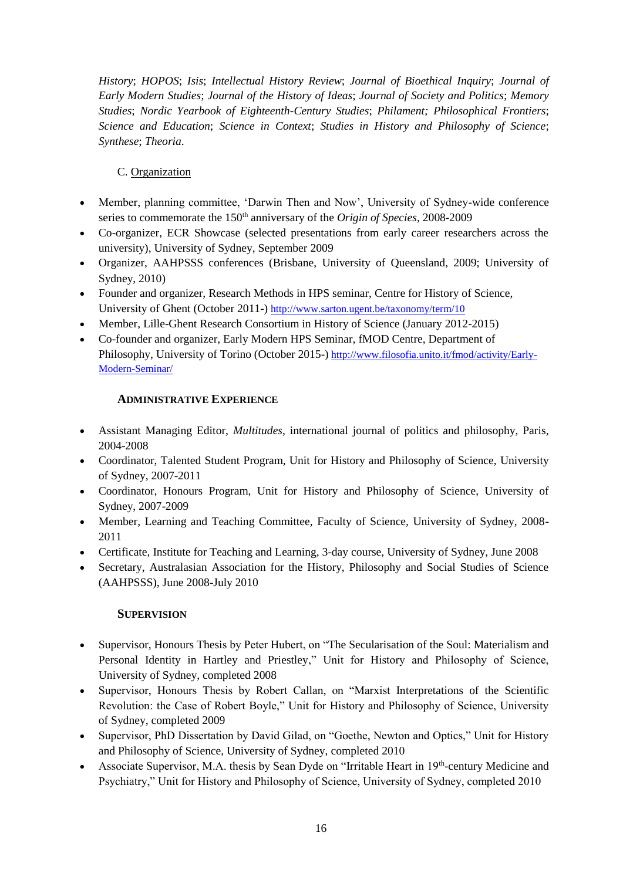*History*; *HOPOS*; *Isis*; *Intellectual History Review*; *Journal of Bioethical Inquiry*; *Journal of Early Modern Studies*; *Journal of the History of Ideas*; *Journal of Society and Politics*; *Memory Studies*; *Nordic Yearbook of Eighteenth-Century Studies*; *Philament; Philosophical Frontiers*; *Science and Education*; *Science in Context*; *Studies in History and Philosophy of Science*; *Synthese*; *Theoria*.

# C. Organization

- Member, planning committee, 'Darwin Then and Now', University of Sydney-wide conference series to commemorate the 150th anniversary of the *Origin of Species*, 2008-2009
- Co-organizer, ECR Showcase (selected presentations from early career researchers across the university), University of Sydney, September 2009
- Organizer, AAHPSSS conferences (Brisbane, University of Queensland, 2009; University of Sydney, 2010)
- Founder and organizer, Research Methods in HPS seminar, Centre for History of Science, University of Ghent (October 2011-) <http://www.sarton.ugent.be/taxonomy/term/10>
- Member, Lille-Ghent Research Consortium in History of Science (January 2012-2015)
- Co-founder and organizer, Early Modern HPS Seminar, fMOD Centre, Department of Philosophy, University of Torino (October 2015-) [http://www.filosofia.unito.it/fmod/activity/Early-](http://www.filosofia.unito.it/fmod/activity/Early-Modern-Seminar/)[Modern-Seminar/](http://www.filosofia.unito.it/fmod/activity/Early-Modern-Seminar/)

## **ADMINISTRATIVE EXPERIENCE**

- Assistant Managing Editor, *Multitudes*, international journal of politics and philosophy, Paris, 2004-2008
- Coordinator, Talented Student Program, Unit for History and Philosophy of Science, University of Sydney, 2007-2011
- Coordinator, Honours Program, Unit for History and Philosophy of Science, University of Sydney, 2007-2009
- Member, Learning and Teaching Committee, Faculty of Science, University of Sydney, 2008- 2011
- Certificate, Institute for Teaching and Learning, 3-day course, University of Sydney, June 2008
- Secretary, Australasian Association for the History, Philosophy and Social Studies of Science (AAHPSSS), June 2008-July 2010

### **SUPERVISION**

- Supervisor, Honours Thesis by Peter Hubert, on "The Secularisation of the Soul: Materialism and Personal Identity in Hartley and Priestley," Unit for History and Philosophy of Science, University of Sydney, completed 2008
- Supervisor, Honours Thesis by Robert Callan, on "Marxist Interpretations of the Scientific Revolution: the Case of Robert Boyle," Unit for History and Philosophy of Science, University of Sydney, completed 2009
- Supervisor, PhD Dissertation by David Gilad, on "Goethe, Newton and Optics," Unit for History and Philosophy of Science, University of Sydney, completed 2010
- Associate Supervisor, M.A. thesis by Sean Dyde on "Irritable Heart in 19th-century Medicine and Psychiatry," Unit for History and Philosophy of Science, University of Sydney, completed 2010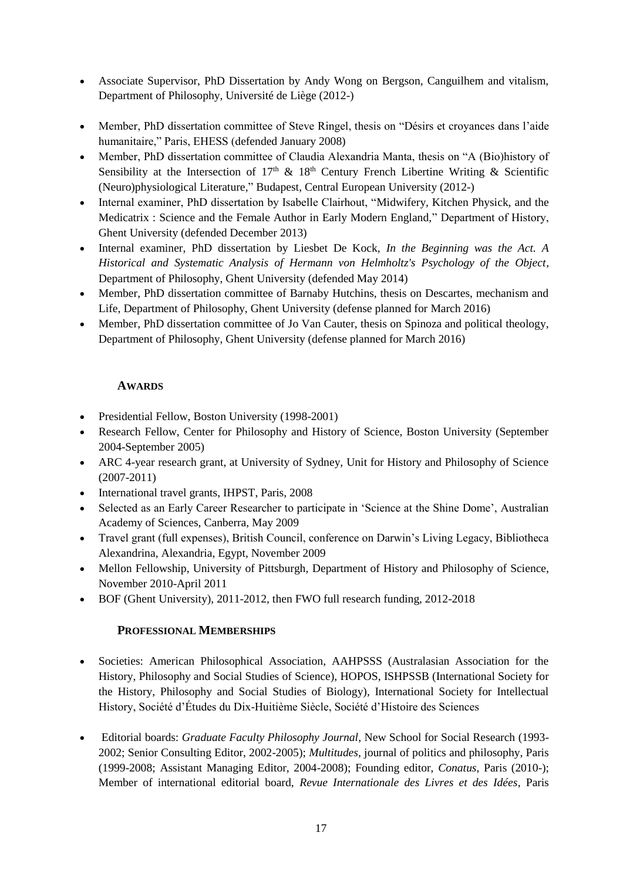- Associate Supervisor, PhD Dissertation by Andy Wong on Bergson, Canguilhem and vitalism, Department of Philosophy, Université de Liège (2012-)
- Member, PhD dissertation committee of Steve Ringel, thesis on "Désirs et croyances dans l'aide humanitaire," Paris, EHESS (defended January 2008)
- Member, PhD dissertation committee of Claudia Alexandria Manta, thesis on "A (Bio)history of Sensibility at the Intersection of  $17<sup>th</sup>$  &  $18<sup>th</sup>$  Century French Libertine Writing & Scientific (Neuro)physiological Literature," Budapest, Central European University (2012-)
- Internal examiner, PhD dissertation by Isabelle Clairhout, "Midwifery, Kitchen Physick, and the Medicatrix : Science and the Female Author in Early Modern England," Department of History, Ghent University (defended December 2013)
- Internal examiner, PhD dissertation by Liesbet De Kock, *In the Beginning was the Act. A Historical and Systematic Analysis of Hermann von Helmholtz's Psychology of the Object*, Department of Philosophy, Ghent University (defended May 2014)
- Member, PhD dissertation committee of Barnaby Hutchins, thesis on Descartes, mechanism and Life, Department of Philosophy, Ghent University (defense planned for March 2016)
- Member, PhD dissertation committee of Jo Van Cauter, thesis on Spinoza and political theology, Department of Philosophy, Ghent University (defense planned for March 2016)

# **AWARDS**

- Presidential Fellow, Boston University (1998-2001)
- Research Fellow, Center for Philosophy and History of Science, Boston University (September 2004-September 2005)
- ARC 4-year research grant, at University of Sydney, Unit for History and Philosophy of Science (2007-2011)
- International travel grants, IHPST, Paris, 2008
- Selected as an Early Career Researcher to participate in 'Science at the Shine Dome', Australian Academy of Sciences, Canberra, May 2009
- Travel grant (full expenses), British Council, conference on Darwin's Living Legacy, Bibliotheca Alexandrina, Alexandria, Egypt, November 2009
- Mellon Fellowship, University of Pittsburgh, Department of History and Philosophy of Science, November 2010-April 2011
- BOF (Ghent University), 2011-2012, then FWO full research funding, 2012-2018

## **PROFESSIONAL MEMBERSHIPS**

- Societies: American Philosophical Association, AAHPSSS (Australasian Association for the History, Philosophy and Social Studies of Science), HOPOS, ISHPSSB (International Society for the History, Philosophy and Social Studies of Biology), International Society for Intellectual History, Société d'Études du Dix-Huitième Siècle, Société d'Histoire des Sciences
- Editorial boards: *Graduate Faculty Philosophy Journal*, New School for Social Research (1993- 2002; Senior Consulting Editor, 2002-2005); *Multitudes*, journal of politics and philosophy, Paris (1999-2008; Assistant Managing Editor, 2004-2008); Founding editor, *Conatus*, Paris (2010-); Member of international editorial board, *Revue Internationale des Livres et des Idées*, Paris